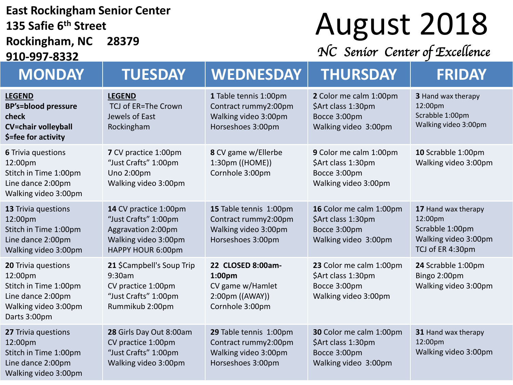#### **East Rockingham Senior Center 135 Safie 6th Street Rockingham, NC 28379**

**910-997-8332**

## August 2018

*NC Senior Center of Excellence* 

| <b>MONDAY</b>                                                                                                        | <b>TUESDAY</b>                                                                                                   | <b>WEDNESDAY</b>                                                                                | <b>THURSDAY</b>                                                                       | <b>FRIDAY</b>                                                                                 |
|----------------------------------------------------------------------------------------------------------------------|------------------------------------------------------------------------------------------------------------------|-------------------------------------------------------------------------------------------------|---------------------------------------------------------------------------------------|-----------------------------------------------------------------------------------------------|
| <b>LEGEND</b><br><b>BP's=blood pressure</b><br>check<br><b>CV=chair volleyball</b><br>\$=fee for activity            | <b>LEGEND</b><br>TCJ of ER=The Crown<br>Jewels of East<br>Rockingham                                             | 1 Table tennis 1:00pm<br>Contract rummy2:00pm<br>Walking video 3:00pm<br>Horseshoes 3:00pm      | 2 Color me calm 1:00pm<br>\$Art class 1:30pm<br>Bocce 3:00pm<br>Walking video 3:00pm  | <b>3</b> Hand wax therapy<br>12:00pm<br>Scrabble 1:00pm<br>Walking video 3:00pm               |
| <b>6 Trivia questions</b><br>12:00pm<br>Stitch in Time 1:00pm<br>Line dance 2:00pm<br>Walking video 3:00pm           | 7 CV practice 1:00pm<br>"Just Crafts" 1:00pm<br>Uno 2:00pm<br>Walking video 3:00pm                               | 8 CV game w/Ellerbe<br>1:30pm ((HOME))<br>Cornhole 3:00pm                                       | 9 Color me calm 1:00pm<br>\$Art class 1:30pm<br>Bocce 3:00pm<br>Walking video 3:00pm  | 10 Scrabble 1:00pm<br>Walking video 3:00pm                                                    |
| 13 Trivia questions<br>12:00pm<br>Stitch in Time 1:00pm<br>Line dance 2:00pm<br>Walking video 3:00pm                 | 14 CV practice 1:00pm<br>"Just Crafts" 1:00pm<br>Aggravation 2:00pm<br>Walking video 3:00pm<br>HAPPY HOUR 6:00pm | 15 Table tennis 1:00pm<br>Contract rummy2:00pm<br>Walking video 3:00pm<br>Horseshoes 3:00pm     | 16 Color me calm 1:00pm<br>\$Art class 1:30pm<br>Bocce 3:00pm<br>Walking video 3:00pm | 17 Hand wax therapy<br>12:00pm<br>Scrabble 1:00pm<br>Walking video 3:00pm<br>TCJ of ER 4:30pm |
| 20 Trivia questions<br>12:00pm<br>Stitch in Time 1:00pm<br>Line dance 2:00pm<br>Walking video 3:00pm<br>Darts 3:00pm | 21 \$Campbell's Soup Trip<br>9:30am<br>CV practice 1:00pm<br>"Just Crafts" 1:00pm<br>Rummikub 2:00pm             | 22 CLOSED 8:00am-<br>1:00pm<br>CV game w/Hamlet<br>$2:00 \text{pm}$ ((AWAY))<br>Cornhole 3:00pm | 23 Color me calm 1:00pm<br>\$Art class 1:30pm<br>Bocce 3:00pm<br>Walking video 3:00pm | 24 Scrabble 1:00pm<br>Bingo 2:00pm<br>Walking video 3:00pm                                    |
| 27 Trivia questions<br>12:00pm<br>Stitch in Time 1:00pm<br>Line dance 2:00pm<br>Walking video 3:00pm                 | 28 Girls Day Out 8:00am<br>CV practice 1:00pm<br>"Just Crafts" 1:00pm<br>Walking video 3:00pm                    | 29 Table tennis 1:00pm<br>Contract rummy2:00pm<br>Walking video 3:00pm<br>Horseshoes 3:00pm     | 30 Color me calm 1:00pm<br>\$Art class 1:30pm<br>Bocce 3:00pm<br>Walking video 3:00pm | 31 Hand wax therapy<br>12:00pm<br>Walking video 3:00pm                                        |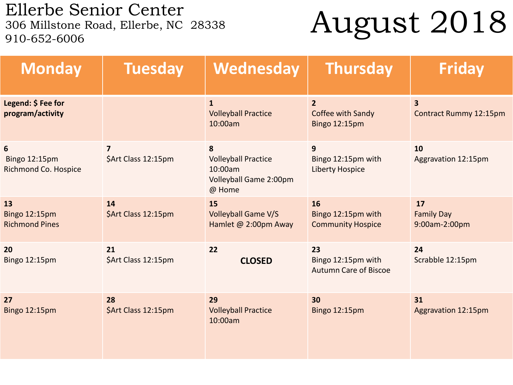Ellerbe Senior Center<br>306 Millstone Road, Ellerbe, NC 28338 910-652-6006

## August 2018

| <b>Monday</b>                                | <b>Tuesday</b>                                 | Wednesday                                                                      | <b>Thursday</b>                                          | <b>Friday</b>                                     |
|----------------------------------------------|------------------------------------------------|--------------------------------------------------------------------------------|----------------------------------------------------------|---------------------------------------------------|
| Legend: \$ Fee for<br>program/activity       |                                                | $\mathbf{1}$<br><b>Volleyball Practice</b><br>10:00am                          | $\overline{2}$<br>Coffee with Sandy<br>Bingo 12:15pm     | $\overline{\mathbf{3}}$<br>Contract Rummy 12:15pm |
| 6<br>Bingo 12:15pm<br>Richmond Co. Hospice   | $\overline{\mathbf{z}}$<br>\$Art Class 12:15pm | 8<br><b>Volleyball Practice</b><br>10:00am<br>Volleyball Game 2:00pm<br>@ Home | 9<br>Bingo 12:15pm with<br><b>Liberty Hospice</b>        | 10<br>Aggravation 12:15pm                         |
| 13<br>Bingo 12:15pm<br><b>Richmond Pines</b> | 14<br>\$Art Class 12:15pm                      | 15<br><b>Volleyball Game V/S</b><br>Hamlet @ 2:00pm Away                       | 16<br>Bingo 12:15pm with<br><b>Community Hospice</b>     | 17<br><b>Family Day</b><br>9:00am-2:00pm          |
| 20<br>Bingo 12:15pm                          | 21<br>\$Art Class 12:15pm                      | 22<br><b>CLOSED</b>                                                            | 23<br>Bingo 12:15pm with<br><b>Autumn Care of Biscoe</b> | 24<br>Scrabble 12:15pm                            |
| 27<br>Bingo 12:15pm                          | 28<br>\$Art Class 12:15pm                      | 29<br><b>Volleyball Practice</b><br>10:00am                                    | 30<br><b>Bingo 12:15pm</b>                               | 31<br><b>Aggravation 12:15pm</b>                  |